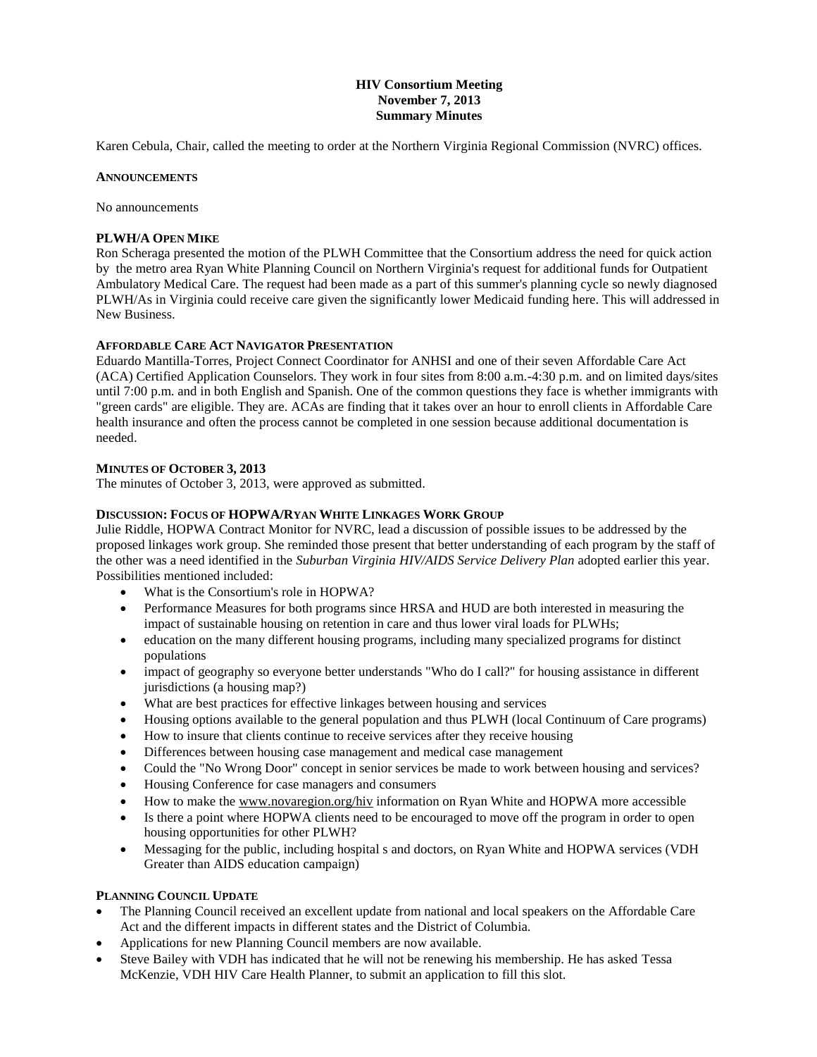# **HIV Consortium Meeting November 7, 2013 Summary Minutes**

Karen Cebula, Chair, called the meeting to order at the Northern Virginia Regional Commission (NVRC) offices.

#### **ANNOUNCEMENTS**

No announcements

#### **PLWH/A OPEN MIKE**

Ron Scheraga presented the motion of the PLWH Committee that the Consortium address the need for quick action by the metro area Ryan White Planning Council on Northern Virginia's request for additional funds for Outpatient Ambulatory Medical Care. The request had been made as a part of this summer's planning cycle so newly diagnosed PLWH/As in Virginia could receive care given the significantly lower Medicaid funding here. This will addressed in New Business.

#### **AFFORDABLE CARE ACT NAVIGATOR PRESENTATION**

Eduardo Mantilla-Torres, Project Connect Coordinator for ANHSI and one of their seven Affordable Care Act (ACA) Certified Application Counselors. They work in four sites from 8:00 a.m.-4:30 p.m. and on limited days/sites until 7:00 p.m. and in both English and Spanish. One of the common questions they face is whether immigrants with "green cards" are eligible. They are. ACAs are finding that it takes over an hour to enroll clients in Affordable Care health insurance and often the process cannot be completed in one session because additional documentation is needed.

# **MINUTES OF OCTOBER 3, 2013**

The minutes of October 3, 2013, were approved as submitted.

#### **DISCUSSION: FOCUS OF HOPWA/RYAN WHITE LINKAGES WORK GROUP**

Julie Riddle, HOPWA Contract Monitor for NVRC, lead a discussion of possible issues to be addressed by the proposed linkages work group. She reminded those present that better understanding of each program by the staff of the other was a need identified in the *Suburban Virginia HIV/AIDS Service Delivery Plan* adopted earlier this year. Possibilities mentioned included:

- What is the Consortium's role in HOPWA?
- Performance Measures for both programs since HRSA and HUD are both interested in measuring the impact of sustainable housing on retention in care and thus lower viral loads for PLWHs;
- education on the many different housing programs, including many specialized programs for distinct populations
- impact of geography so everyone better understands "Who do I call?" for housing assistance in different jurisdictions (a housing map?)
- What are best practices for effective linkages between housing and services
- Housing options available to the general population and thus PLWH (local Continuum of Care programs)
- How to insure that clients continue to receive services after they receive housing
- Differences between housing case management and medical case management
- Could the "No Wrong Door" concept in senior services be made to work between housing and services?
- Housing Conference for case managers and consumers
- How to make the www.novaregion.org/hiv information on Ryan White and HOPWA more accessible
- Is there a point where HOPWA clients need to be encouraged to move off the program in order to open housing opportunities for other PLWH?
- Messaging for the public, including hospital s and doctors, on Ryan White and HOPWA services (VDH Greater than AIDS education campaign)

# **PLANNING COUNCIL UPDATE**

- The Planning Council received an excellent update from national and local speakers on the Affordable Care Act and the different impacts in different states and the District of Columbia.
- Applications for new Planning Council members are now available.
- Steve Bailey with VDH has indicated that he will not be renewing his membership. He has asked Tessa McKenzie, VDH HIV Care Health Planner, to submit an application to fill this slot.